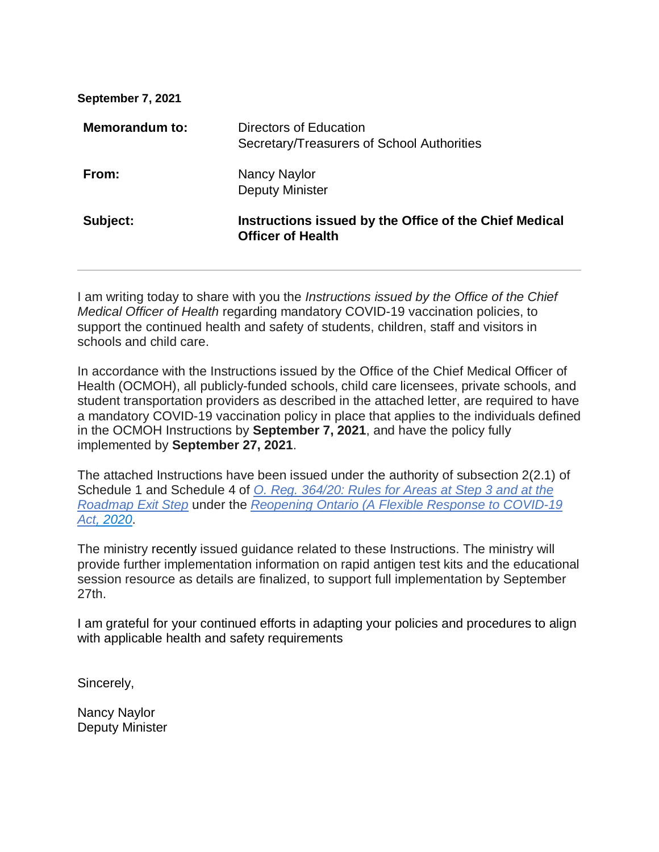| Directors of Education<br>Secretary/Treasurers of School Authorities               |
|------------------------------------------------------------------------------------|
| Nancy Naylor<br><b>Deputy Minister</b>                                             |
| Instructions issued by the Office of the Chief Medical<br><b>Officer of Health</b> |
|                                                                                    |

I am writing today to share with you the *Instructions issued by the Office of the Chief Medical Officer of Health* regarding mandatory COVID-19 vaccination policies, to support the continued health and safety of students, children, staff and visitors in schools and child care.

In accordance with the Instructions issued by the Office of the Chief Medical Officer of Health (OCMOH), all publicly-funded schools, child care licensees, private schools, and student transportation providers as described in the attached letter, are required to have a mandatory COVID-19 vaccination policy in place that applies to the individuals defined in the OCMOH Instructions by **September 7, 2021**, and have the policy fully implemented by **September 27, 2021**.

The attached Instructions have been issued under the authority of subsection 2(2.1) of Schedule 1 and Schedule 4 of *[O. Reg. 364/20: Rules for Areas at Step 3 and at the](https://www.ontario.ca/laws/regulation/200364#BK8)  [Roadmap Exit Step](https://www.ontario.ca/laws/regulation/200364#BK8)* under the *[Reopening Ontario \(A Flexible Response](https://www.ontario.ca/laws/statute/20r17) to COVID-19 [Act, 2020](https://www.ontario.ca/laws/statute/20r17)*.

The ministry recently issued guidance related to these Instructions. The ministry will provide further implementation information on rapid antigen test kits and the educational session resource as details are finalized, to support full implementation by September 27th.

I am grateful for your continued efforts in adapting your policies and procedures to align with applicable health and safety requirements

Sincerely,

Nancy Naylor Deputy Minister